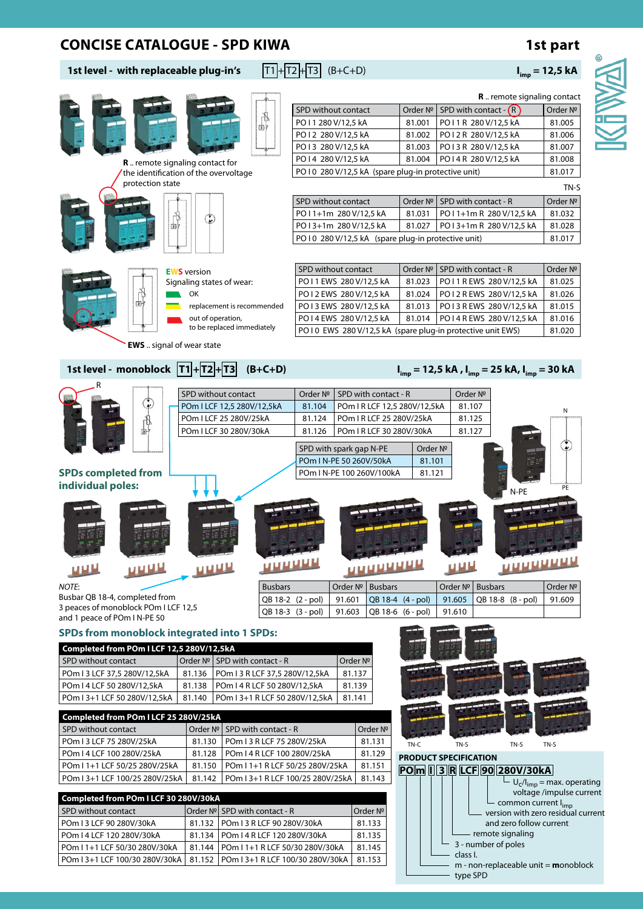## **CONCISE CATALOGUE - SPD KIWA 1st part**

 $\frac{1}{2}$ 

# **1st level - with replaceable plug-in's**  $\boxed{T1} + \boxed{T2} + \boxed{T3}$  (B+C+D) **I**<sub>imp</sub> = **12,5 kA**

**Existence** 

D. I





**R** .. remote signaling contact

- type SPD

 $\mathbb{R}^n$ 

|                              |                                                    |                           |                                        |                            | SPD without contact              |                           |                      |                                                      |                           | Order $N^{\circ}$ SPD with contact - $(R)$                 | Order Nº                                                                       |
|------------------------------|----------------------------------------------------|---------------------------|----------------------------------------|----------------------------|----------------------------------|---------------------------|----------------------|------------------------------------------------------|---------------------------|------------------------------------------------------------|--------------------------------------------------------------------------------|
|                              |                                                    |                           |                                        | 酎                          | PO I 1 280 V/12,5 kA             |                           |                      | 81.001                                               |                           | PO I 1 R 280 V/12,5 kA                                     | 81.005                                                                         |
|                              |                                                    |                           |                                        |                            | PO I 2 280 V/12,5 kA             |                           |                      | 81.002                                               |                           | PO12 R 280 V/12,5 kA                                       | 81.006                                                                         |
|                              |                                                    |                           |                                        |                            | PO I 3 280 V/12,5 kA             |                           |                      | 81.003                                               |                           | PO13 R 280 V/12,5 kA                                       | 81.007                                                                         |
|                              | <b>R</b> remote signaling contact for              |                           |                                        |                            | PO I 4 280 V/12,5 kA             |                           |                      | 81.004                                               |                           | PO14 R 280 V/12,5 kA                                       | 81.008                                                                         |
|                              | the identification of the overvoltage              |                           |                                        |                            |                                  |                           |                      | PO I 0 280 V/12,5 kA (spare plug-in protective unit) |                           |                                                            | 81.017                                                                         |
|                              | protection state                                   |                           |                                        |                            |                                  |                           |                      |                                                      |                           |                                                            | TN-S                                                                           |
|                              |                                                    |                           |                                        |                            | SPD without contact              |                           |                      |                                                      |                           | Order $N^{\circ}$ SPD with contact - R                     | Order Nº                                                                       |
|                              |                                                    |                           |                                        |                            | PO11+1m 280V/12,5 kA             |                           |                      | 81.031                                               |                           | PO11+1m R 280 V/12,5 kA                                    | 81.032                                                                         |
|                              | 向                                                  | ٤                         |                                        |                            | PO13+1m 280 V/12.5 kA            |                           |                      | 81.027                                               |                           | PO13+1m R 280 V/12,5 kA                                    | 81.028                                                                         |
|                              |                                                    |                           |                                        |                            |                                  |                           |                      | PO I 0 280 V/12,5 kA (spare plug-in protective unit) |                           |                                                            | 81.017                                                                         |
|                              |                                                    |                           |                                        |                            |                                  |                           |                      |                                                      |                           |                                                            |                                                                                |
|                              |                                                    |                           |                                        |                            |                                  |                           |                      |                                                      |                           |                                                            |                                                                                |
|                              |                                                    | <b>EWS</b> version        |                                        |                            |                                  | SPD without contact       |                      |                                                      |                           | Order $N^{\circ}$ SPD with contact - R                     | Order Nº                                                                       |
|                              |                                                    | Signaling states of wear: |                                        |                            |                                  | PO I 1 EWS 280 V/12,5 kA  |                      | 81.023                                               |                           | PO I 1 R EWS 280 V/12,5 kA                                 | 81.025                                                                         |
|                              |                                                    | OK                        |                                        |                            |                                  | PO12 EWS 280 V/12,5 kA    |                      | 81.024                                               |                           | PO I 2 R EWS 280 V/12,5 kA                                 | 81.026                                                                         |
|                              |                                                    |                           | replacement is recommended             |                            |                                  | PO13 EWS 280 V/12,5 kA    |                      | 81.013                                               |                           | PO I 3 R EWS 280 V/12,5 kA                                 | 81.015                                                                         |
|                              |                                                    | out of operation,         | to be replaced immediately             |                            |                                  | PO14 EWS 280 V/12,5 kA    |                      | 81.014                                               |                           | PO I 4 R EWS 280 V/12,5 kA                                 | 81.016                                                                         |
|                              |                                                    |                           |                                        |                            |                                  |                           |                      |                                                      |                           | PO10 EWS 280 V/12,5 kA (spare plug-in protective unit EWS) | 81.020                                                                         |
|                              | <b>EWS</b> signal of wear state                    |                           |                                        |                            |                                  |                           |                      |                                                      |                           |                                                            |                                                                                |
|                              |                                                    |                           |                                        |                            |                                  |                           |                      |                                                      |                           |                                                            |                                                                                |
|                              | 1st level - monoblock  T1 + T2 + T3                |                           |                                        | $(B+C+D)$                  |                                  |                           |                      |                                                      |                           |                                                            | $I_{\text{imp}}$ = 12,5 kA, $I_{\text{imp}}$ = 25 kA, $I_{\text{imp}}$ = 30 kA |
|                              |                                                    |                           | SPD without contact                    |                            | Order Nº                         |                           | SPD with contact - R |                                                      | Order Nº                  |                                                            |                                                                                |
|                              |                                                    |                           | POm I LCF 12,5 280V/12,5kA             |                            | 81.104                           |                           |                      | POm I R LCF 12,5 280V/12,5kA                         | 81.107                    |                                                            |                                                                                |
|                              |                                                    |                           | POm I LCF 25 280V/25kA                 |                            | 81.124                           |                           |                      | POm I R LCF 25 280V/25kA                             | 81.125                    |                                                            | N                                                                              |
|                              | 由                                                  |                           | POm I LCF 30 280V/30kA                 |                            | 81.126                           |                           |                      | POm I R LCF 30 280V/30kA                             | 81.127                    |                                                            |                                                                                |
|                              |                                                    |                           |                                        |                            |                                  |                           |                      |                                                      |                           |                                                            | $\mathbf{f}$                                                                   |
|                              |                                                    |                           |                                        |                            |                                  | SPD with spark gap N-PE   |                      | Order Nº                                             |                           |                                                            |                                                                                |
|                              |                                                    |                           |                                        |                            |                                  | POm I N-PE 50 260V/50kA   |                      | 81.101                                               |                           |                                                            |                                                                                |
| <b>SPDs completed from</b>   |                                                    |                           |                                        |                            |                                  | POm I N-PE 100 260V/100kA |                      | 81.121                                               |                           |                                                            |                                                                                |
| individual poles:            |                                                    |                           |                                        |                            |                                  |                           |                      |                                                      |                           | N-PE                                                       | PE                                                                             |
|                              |                                                    |                           |                                        |                            |                                  |                           |                      |                                                      |                           |                                                            |                                                                                |
|                              |                                                    |                           |                                        |                            |                                  |                           |                      |                                                      |                           |                                                            |                                                                                |
|                              |                                                    |                           |                                        |                            |                                  |                           |                      |                                                      |                           |                                                            |                                                                                |
|                              |                                                    |                           |                                        |                            |                                  |                           |                      |                                                      |                           |                                                            |                                                                                |
|                              |                                                    |                           |                                        |                            |                                  |                           |                      |                                                      |                           |                                                            |                                                                                |
|                              | <b>UNNH</b>                                        | <u>uuuu</u>               |                                        |                            |                                  |                           |                      |                                                      |                           | <u>uuuu</u>                                                |                                                                                |
|                              |                                                    |                           |                                        |                            |                                  |                           |                      |                                                      |                           |                                                            |                                                                                |
| NOTF:                        | Busbar QB 18-4, completed from                     |                           |                                        | <b>Busbars</b>             |                                  | Order Nº Busbars          |                      |                                                      | Order $N^{\circ}$ Busbars |                                                            | Order $N^{\underline{o}}$                                                      |
|                              | 3 peaces of monoblock POm I LCF 12,5               |                           |                                        |                            | QB 18-2 (2 - pol)                | 91.601                    |                      | QB 18-4 (4 - pol)                                    | 91.605                    | QB 18-8 (8 - pol)                                          | 91.609                                                                         |
| and 1 peace of POm I N-PE 50 |                                                    |                           |                                        |                            | QB 18-3 (3 - pol)                | 91.603                    |                      | QB 18-6 (6 - pol)                                    | 91.610                    |                                                            |                                                                                |
|                              | <b>SPDs from monoblock integrated into 1 SPDs:</b> |                           |                                        |                            |                                  |                           |                      |                                                      |                           |                                                            |                                                                                |
|                              | Completed from POm I LCF 12,5 280V/12,5kA          |                           |                                        |                            |                                  |                           |                      |                                                      |                           |                                                            |                                                                                |
| SPD without contact          |                                                    |                           | Order $N^{\circ}$ SPD with contact - R |                            |                                  | Order Nº                  |                      |                                                      |                           |                                                            |                                                                                |
| POm I 3 LCF 37,5 280V/12,5kA |                                                    | 81.136                    | POm I 3 R LCF 37,5 280V/12,5kA         |                            |                                  | 81.137                    |                      |                                                      |                           |                                                            |                                                                                |
| POm I 4 LCF 50 280V/12,5kA   |                                                    | 81.138                    | POm 14 R LCF 50 280V/12,5kA            |                            |                                  | 81.139                    |                      |                                                      |                           |                                                            |                                                                                |
|                              | POm I 3+1 LCF 50 280V/12,5kA                       | 81.140                    | POm I 3+1 R LCF 50 280V/12,5kA         |                            |                                  | 81.141                    |                      |                                                      |                           |                                                            |                                                                                |
|                              |                                                    |                           |                                        |                            |                                  |                           |                      |                                                      |                           |                                                            |                                                                                |
|                              | Completed from POm I LCF 25 280V/25kA              |                           |                                        |                            |                                  |                           |                      |                                                      |                           |                                                            |                                                                                |
| SPD without contact          |                                                    |                           | Order $N^{\circ}$ SPD with contact - R |                            |                                  |                           | Order Nº             |                                                      |                           |                                                            |                                                                                |
| POm I 3 LCF 75 280V/25kA     |                                                    | 81.130                    |                                        | POm I 3 R LCF 75 280V/25kA |                                  |                           | 81.131               | TN-C                                                 | TN-S                      | TN-S                                                       | TN-S                                                                           |
| POm I 4 LCF 100 280V/25kA    |                                                    | 81.128                    |                                        |                            | POm I 4 R LCF 100 280V/25kA      |                           | 81.129               | <b>PRODUCT SPECIFICATION</b>                         |                           |                                                            |                                                                                |
|                              | POm I 1+1 LCF 50/25 280V/25kA                      | 81.150                    |                                        |                            | POm I 1+1 R LCF 50/25 280V/25kA  |                           | 81.151               |                                                      |                           | PO <sub>m</sub> 13R LCF 90 280V/30kA                       |                                                                                |
|                              | POm I 3+1 LCF 100/25 280V/25kA                     | 81.142                    |                                        |                            | POm I 3+1 R LCF 100/25 280V/25kA |                           | 81.143               |                                                      |                           |                                                            | $U_c/I_{\text{imp}}$ = max. operating                                          |
|                              | Completed from POm I LCF 30 280V/30kA              |                           |                                        |                            |                                  |                           |                      |                                                      |                           |                                                            | voltage /impulse current                                                       |
| SPD without contact          |                                                    |                           | Order Nº SPD with contact - R          |                            |                                  |                           | Order Nº             |                                                      |                           |                                                            | common current l <sub>imp</sub>                                                |
| POm I 3 LCF 90 280V/30kA     |                                                    | 81.132                    | POm I 3 R LCF 90 280V/30kA             |                            |                                  |                           | 81.133               |                                                      |                           |                                                            | version with zero residual current<br>and zero follow current                  |
|                              |                                                    |                           |                                        |                            |                                  |                           |                      |                                                      |                           | remote signaling                                           |                                                                                |
| POm I 4 LCF 120 280V/30kA    |                                                    | 81.134                    | POm I 4 R LCF 120 280V/30kA            |                            |                                  |                           | 81.135               |                                                      |                           | 3 - number of poles                                        |                                                                                |
|                              | POm I 1+1 LCF 50/30 280V/30kA                      | 81.144                    |                                        |                            | POm I 1+1 R LCF 50/30 280V/30kA  |                           | 81.145               |                                                      | class I.                  |                                                            |                                                                                |
|                              | POm I 3+1 LCF 100/30 280V/30kA                     | 81.152                    |                                        |                            | POm I 3+1 R LCF 100/30 280V/30kA |                           | 81.153               |                                                      |                           |                                                            | $m$ - non-replaceable unit = <b>m</b> onoblock                                 |